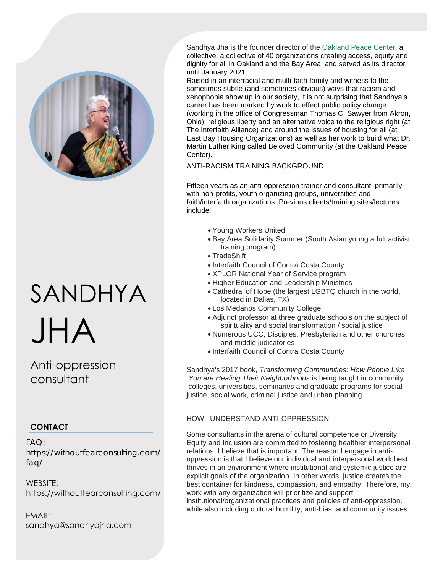

# SANDHYA JHA

Anti-oppression consultant

## **CONTACT**

FAQ: https://withoutfearconsulting.com/ faq/

WEBSITE: https://withoutfearconsulting.com/

EMAIL: sandhya@sandhyajha.com Sandhya Jha is the founder director of the Oaklan[d Peace Center](http://oaklandpeacecenter.org/), a [collectiv](http://oaklandpeacecenter.org/)e, a collective of 40 organizations creating access, equity and dignity for all in Oakland and the Bay Area, and served as its director until January 2021.

Raised in an interracial and multi-faith family and witness to the sometimes subtle (and sometimes obvious) ways that racism and xenophobia show up in our society, it is not surprising that Sandhya's career has been marked by work to effect public policy change (working in the office of Congressman Thomas C. Sawyer from Akron, Ohio), religious liberty and an alternative voice to the religious right (at The Interfaith Alliance) and around the issues of housing for all (at East Bay Housing Organizations) as well as her work to build what Dr. Martin Luther King called Beloved Community (at the Oakland Peace Center).

ANTI-RACISM TRAINING BACKGROUND:

Fifteen years as an anti-oppression trainer and consultant, primarily with non-profits, youth organizing groups, universities and faith/interfaith organizations. Previous clients/training sites/lectures include:

- Young Workers United
- Bay Area Solidarity Summer (South Asian young adult activist training program)
- TradeShift
- Interfaith Council of Contra Costa County
- XPLOR National Year of Service program
- Higher Education and Leadership Ministries
- Cathedral of Hope (the largest LGBTQ church in the world, located in Dallas, TX)
- Los Medanos Community College
- Adjunct professor at three graduate schools on the subject of spirituality and social transformation / social justice
- Numerous UCC, Disciples, Presbyterian and other churches and middle judicatories
- Interfaith Council of Contra Costa County

Sandhya's 2017 book, *Transforming Communities: How People Like You are Healing Their Neighborhoods* is being taught in community colleges, universities, seminaries and graduate programs for social justice, social work, criminal justice and urban planning.

### HOW I UNDERSTAND ANTI-OPPRESSION

Some consultants in the arena of cultural competence or Diversity, Equity and Inclusion are committed to fostering healthier interpersonal relations. I believe that is important. The reason I engage in antioppression is that I believe our individual and interpersonal work best thrives in an environment where institutional and systemic justice are explicit goals of the organization. In other words, justice creates the best container for kindness, compassion, and empathy. Therefore, my work with any organization will prioritize and support institutional/organizational practices and policies of anti-oppression, while also including cultural humility, anti-bias, and community issues.